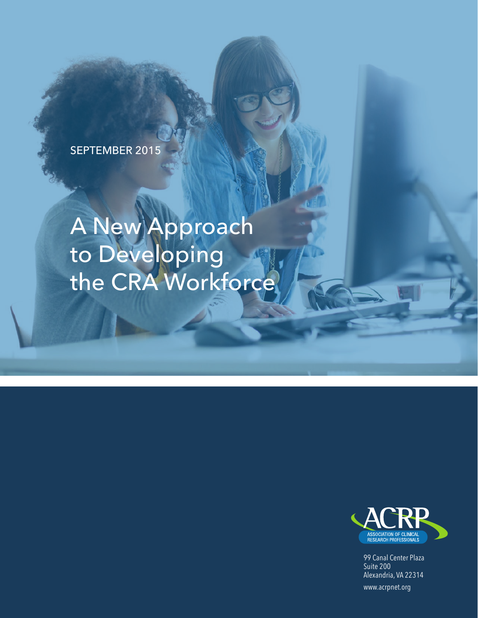SEPTEMBER 2015

# A New Approach to Developing the CRA Workforce



99 Canal Center Plaza Suite 200 Alexandria, VA 22314

www.acrpnet.org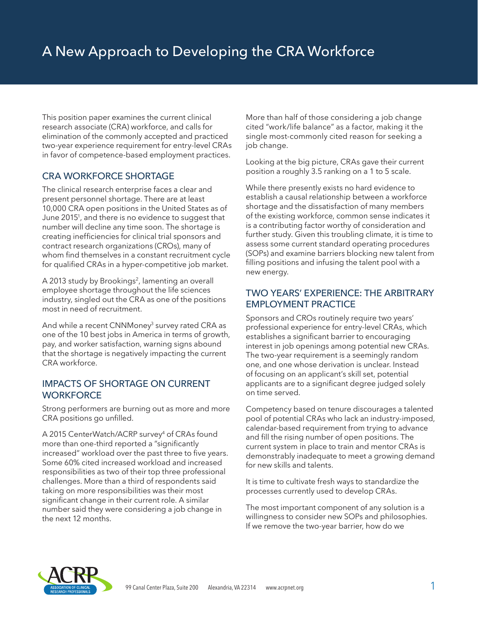This position paper examines the current clinical research associate (CRA) workforce, and calls for elimination of the commonly accepted and practiced two-year experience requirement for entry-level CRAs in favor of competence-based employment practices.

## CRA WORKFORCE SHORTAGE

The clinical research enterprise faces a clear and present personnel shortage. There are at least 10,000 CRA open positions in the United States as of June 20151 , and there is no evidence to suggest that number will decline any time soon. The shortage is creating inefficiencies for clinical trial sponsors and contract research organizations (CROs), many of whom find themselves in a constant recruitment cycle for qualified CRAs in a hyper-competitive job market.

A 2013 study by Brookings<sup>2</sup>, lamenting an overall employee shortage throughout the life sciences industry, singled out the CRA as one of the positions most in need of recruitment.

And while a recent CNNMoney<sup>3</sup> survey rated CRA as one of the 10 best jobs in America in terms of growth, pay, and worker satisfaction, warning signs abound that the shortage is negatively impacting the current CRA workforce.

#### IMPACTS OF SHORTAGE ON CURRENT **WORKFORCE**

Strong performers are burning out as more and more CRA positions go unfilled.

A 2015 CenterWatch/ACRP survey<sup>4</sup> of CRAs found more than one-third reported a "significantly increased" workload over the past three to five years. Some 60% cited increased workload and increased responsibilities as two of their top three professional challenges. More than a third of respondents said taking on more responsibilities was their most significant change in their current role. A similar number said they were considering a job change in the next 12 months.

More than half of those considering a job change cited "work/life balance" as a factor, making it the single most-commonly cited reason for seeking a job change.

Looking at the big picture, CRAs gave their current position a roughly 3.5 ranking on a 1 to 5 scale.

While there presently exists no hard evidence to establish a causal relationship between a workforce shortage and the dissatisfaction of many members of the existing workforce, common sense indicates it is a contributing factor worthy of consideration and further study. Given this troubling climate, it is time to assess some current standard operating procedures (SOPs) and examine barriers blocking new talent from filling positions and infusing the talent pool with a new energy.

### TWO YEARS' EXPERIENCE: THE ARBITRARY EMPLOYMENT PRACTICE

Sponsors and CROs routinely require two years' professional experience for entry-level CRAs, which establishes a significant barrier to encouraging interest in job openings among potential new CRAs. The two-year requirement is a seemingly random one, and one whose derivation is unclear. Instead of focusing on an applicant's skill set, potential applicants are to a significant degree judged solely on time served.

Competency based on tenure discourages a talented pool of potential CRAs who lack an industry-imposed, calendar-based requirement from trying to advance and fill the rising number of open positions. The current system in place to train and mentor CRAs is demonstrably inadequate to meet a growing demand for new skills and talents.

It is time to cultivate fresh ways to standardize the processes currently used to develop CRAs.

The most important component of any solution is a willingness to consider new SOPs and philosophies. If we remove the two-year barrier, how do we